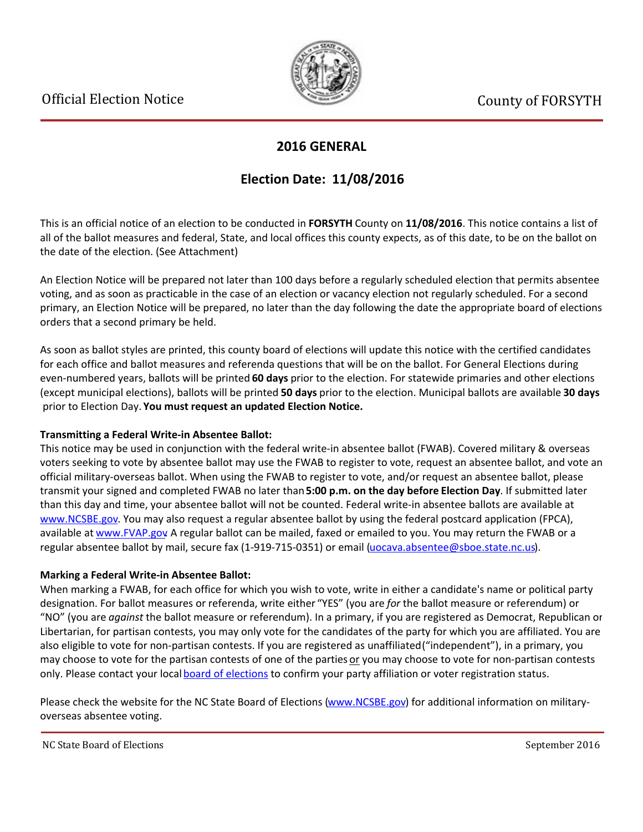

### **2016 GENERAL**

## **Election Date: 11/08/2016**

This is an official notice of an election to be conducted in **FORSYTH** County on **11/08/2016**. This notice contains a list of all of the ballot measures and federal, State, and local offices this county expects, as of this date, to be on the ballot on the date of the election. (See Attachment)

An Election Notice will be prepared not later than 100 days before a regularly scheduled election that permits absentee voting, and as soon as practicable in the case of an election or vacancy election not regularly scheduled. For a second primary, an Election Notice will be prepared, no later than the day following the date the appropriate board of elections orders that a second primary be held.

As soon as ballot styles are printed, this county board of elections will update this notice with the certified candidates for each office and ballot measures and referenda questions that will be on the ballot. For General Elections during even-numbered years, ballots will be printed **60 days** prior to the election. For statewide primaries and other elections (except municipal elections), ballots will be printed **50 days** prior to the election. Municipal ballots are available **30 days** prior to Election Day. **You must request an updated Election Notice.**

#### **Transmitting a Federal Write-in Absentee Ballot:**

This notice may be used in conjunction with the federal write-in absentee ballot (FWAB). Covered military & overseas voters seeking to vote by absentee ballot may use the FWAB to register to vote, request an absentee ballot, and vote an official military-overseas ballot. When using the FWAB to register to vote, and/or request an absentee ballot, please transmit your signed and completed FWAB no later than **5:00 p.m. on the day before Election Day**. If submitted later than this day and time, your absentee ballot will not be counted. Federal write-in absentee ballots are available at [www.NCSBE.gov](http://www.ncsbe.gov/). You may also request a regular absentee ballot by using the federal postcard application (FPCA), available at [www.FVAP.gov](http://www.fvap.gov/) A regular ballot can be mailed, faxed or emailed to you. You may return the FWAB or a regular absentee ballot by mail, secure fax (1-919-715-0351) or email (uocava.absentee@sboe.state.nc.us).

#### **Marking a Federal Write-in Absentee Ballot:**

When marking a FWAB, for each office for which you wish to vote, write in either a candidate's name or political party designation. For ballot measures or referenda, write either "YES" (you are *for* the ballot measure or referendum) or ͞NO͟(you are *against* the ballot measure or referendum). In a primary, if you are registered as Democrat, Republican or Libertarian, for partisan contests, you may only vote for the candidates of the party for which you are affiliated. You are also eligible to vote for non-partisan contests. If you are registered as unaffiliated ("independent"), in a primary, you may choose to vote for the partisan contests of one of the parties or you may choose to vote for non-partisan contests only. Please contact your local [board of elections](http://www.ncsbe.gov/webapps/CBESearch/) to confirm your party affiliation or voter registration status.

Please check the website for the NC State Board of Elections [\(www.NCSBE.gov](http://www.ncsbe.gov/)) for additional information on militaryoverseas absentee voting.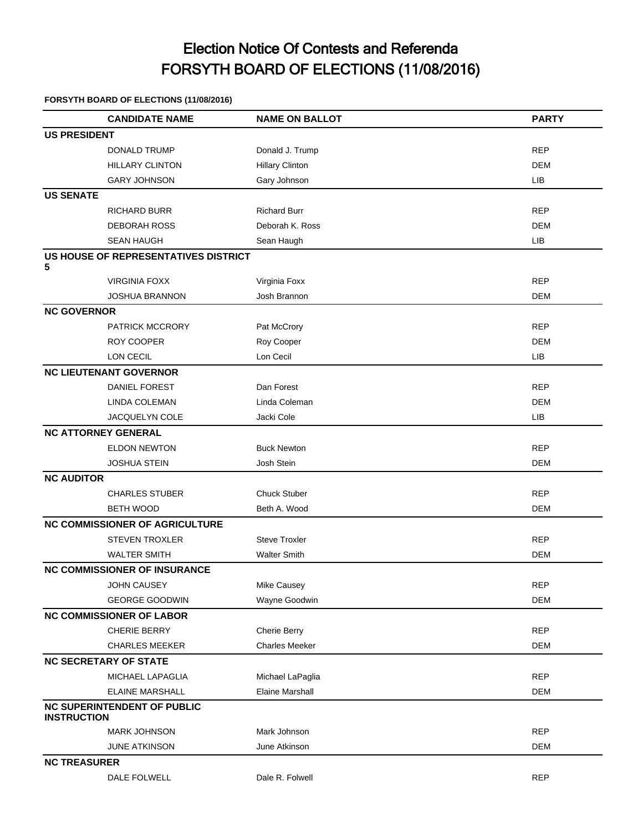# Election Notice Of Contests and Referenda FORSYTH BOARD OF ELECTIONS (11/08/2016)

#### **FORSYTH BOARD OF ELECTIONS (11/08/2016)**

|                    | <b>CANDIDATE NAME</b>                 | <b>NAME ON BALLOT</b>  | <b>PARTY</b> |
|--------------------|---------------------------------------|------------------------|--------------|
|                    | <b>US PRESIDENT</b>                   |                        |              |
|                    | <b>DONALD TRUMP</b>                   | Donald J. Trump        | <b>REP</b>   |
|                    | <b>HILLARY CLINTON</b>                | <b>Hillary Clinton</b> | DEM          |
|                    | <b>GARY JOHNSON</b>                   | Gary Johnson           | LIB          |
| <b>US SENATE</b>   |                                       |                        |              |
|                    | RICHARD BURR                          | <b>Richard Burr</b>    | <b>REP</b>   |
|                    | <b>DEBORAH ROSS</b>                   | Deborah K. Ross        | <b>DEM</b>   |
|                    | <b>SEAN HAUGH</b>                     | Sean Haugh             | LIB          |
|                    | US HOUSE OF REPRESENTATIVES DISTRICT  |                        |              |
| 5                  | <b>VIRGINIA FOXX</b>                  | Virginia Foxx          | <b>REP</b>   |
|                    | JOSHUA BRANNON                        | Josh Brannon           | <b>DEM</b>   |
|                    | <b>NC GOVERNOR</b>                    |                        |              |
|                    | <b>PATRICK MCCRORY</b>                | Pat McCrory            | <b>REP</b>   |
|                    | ROY COOPER                            | Roy Cooper             | DEM          |
|                    | LON CECIL                             | Lon Cecil              | LIB          |
|                    | <b>NC LIEUTENANT GOVERNOR</b>         |                        |              |
|                    | <b>DANIEL FOREST</b>                  | Dan Forest             | <b>REP</b>   |
|                    | LINDA COLEMAN                         | Linda Coleman          | <b>DEM</b>   |
|                    | <b>JACQUELYN COLE</b>                 | Jacki Cole             | LIB          |
|                    | <b>NC ATTORNEY GENERAL</b>            |                        |              |
|                    | <b>ELDON NEWTON</b>                   | <b>Buck Newton</b>     | <b>REP</b>   |
|                    | <b>JOSHUA STEIN</b>                   | Josh Stein             | DEM          |
| <b>NC AUDITOR</b>  |                                       |                        |              |
|                    | <b>CHARLES STUBER</b>                 | <b>Chuck Stuber</b>    | <b>REP</b>   |
|                    | <b>BETH WOOD</b>                      | Beth A. Wood           | DEM          |
|                    | <b>NC COMMISSIONER OF AGRICULTURE</b> |                        |              |
|                    | <b>STEVEN TROXLER</b>                 | <b>Steve Troxler</b>   | <b>REP</b>   |
|                    | <b>WALTER SMITH</b>                   | <b>Walter Smith</b>    | <b>DEM</b>   |
|                    | <b>NC COMMISSIONER OF INSURANCE</b>   |                        |              |
|                    | JOHN CAUSEY                           | Mike Causey            | <b>REP</b>   |
|                    | <b>GEORGE GOODWIN</b>                 | Wayne Goodwin          | DEM          |
|                    | <b>NC COMMISSIONER OF LABOR</b>       |                        |              |
|                    | CHERIE BERRY                          | Cherie Berry           | <b>REP</b>   |
|                    | <b>CHARLES MEEKER</b>                 | <b>Charles Meeker</b>  | <b>DEM</b>   |
|                    | <b>NC SECRETARY OF STATE</b>          |                        |              |
|                    | MICHAEL LAPAGLIA                      | Michael LaPaglia       | <b>REP</b>   |
|                    | <b>ELAINE MARSHALL</b>                | <b>Elaine Marshall</b> | DEM          |
|                    | <b>NC SUPERINTENDENT OF PUBLIC</b>    |                        |              |
| <b>INSTRUCTION</b> |                                       |                        |              |
|                    | <b>MARK JOHNSON</b>                   | Mark Johnson           | <b>REP</b>   |
|                    | JUNE ATKINSON                         | June Atkinson          | <b>DEM</b>   |
|                    | <b>NC TREASURER</b>                   |                        |              |
|                    | DALE FOLWELL                          | Dale R. Folwell        | <b>REP</b>   |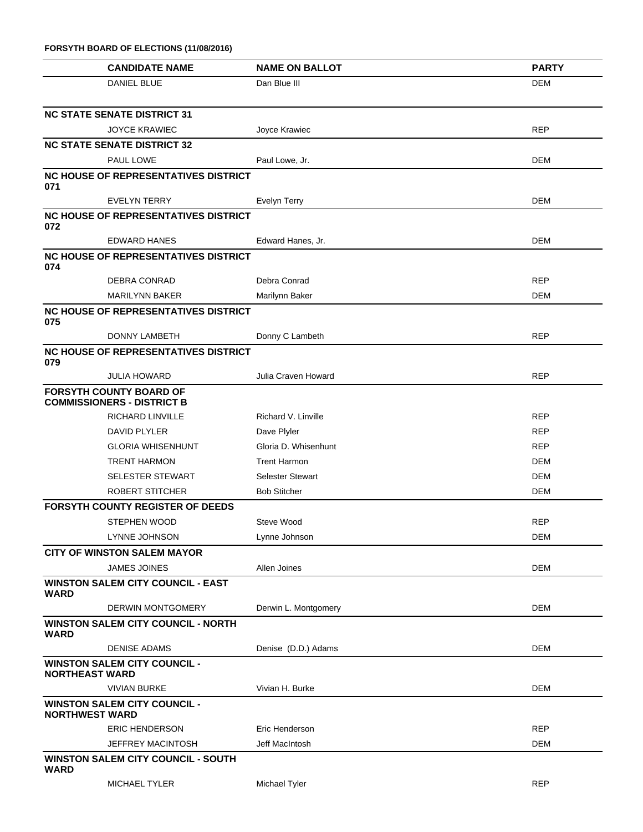| FORSYTH BOARD OF ELECTIONS (11/08/2016)                             |                         |              |  |  |
|---------------------------------------------------------------------|-------------------------|--------------|--|--|
| <b>CANDIDATE NAME</b>                                               | <b>NAME ON BALLOT</b>   | <b>PARTY</b> |  |  |
| <b>DANIEL BLUE</b>                                                  | Dan Blue III            | <b>DEM</b>   |  |  |
| <b>NC STATE SENATE DISTRICT 31</b>                                  |                         |              |  |  |
| <b>JOYCE KRAWIEC</b>                                                | Joyce Krawiec           | <b>REP</b>   |  |  |
| <b>NC STATE SENATE DISTRICT 32</b>                                  |                         |              |  |  |
| <b>PAUL LOWE</b>                                                    | Paul Lowe, Jr.          | <b>DEM</b>   |  |  |
| <b>NC HOUSE OF REPRESENTATIVES DISTRICT</b><br>071                  |                         |              |  |  |
| <b>EVELYN TERRY</b>                                                 | Evelyn Terry            | DEM          |  |  |
| NC HOUSE OF REPRESENTATIVES DISTRICT<br>072                         |                         |              |  |  |
| <b>EDWARD HANES</b>                                                 | Edward Hanes, Jr.       | <b>DEM</b>   |  |  |
| <b>NC HOUSE OF REPRESENTATIVES DISTRICT</b><br>074                  |                         |              |  |  |
| DEBRA CONRAD                                                        | Debra Conrad            | <b>REP</b>   |  |  |
| <b>MARILYNN BAKER</b>                                               | Marilynn Baker          | <b>DEM</b>   |  |  |
| <b>NC HOUSE OF REPRESENTATIVES DISTRICT</b><br>075                  |                         |              |  |  |
| DONNY LAMBETH                                                       | Donny C Lambeth         | <b>REP</b>   |  |  |
| <b>NC HOUSE OF REPRESENTATIVES DISTRICT</b><br>079                  |                         |              |  |  |
| <b>JULIA HOWARD</b>                                                 | Julia Craven Howard     | <b>REP</b>   |  |  |
| <b>FORSYTH COUNTY BOARD OF</b><br><b>COMMISSIONERS - DISTRICT B</b> |                         |              |  |  |
| <b>RICHARD LINVILLE</b>                                             | Richard V. Linville     | <b>REP</b>   |  |  |
| DAVID PLYLER                                                        | Dave Plyler             | <b>REP</b>   |  |  |
| <b>GLORIA WHISENHUNT</b>                                            | Gloria D. Whisenhunt    | <b>REP</b>   |  |  |
| <b>TRENT HARMON</b>                                                 | <b>Trent Harmon</b>     | DEM          |  |  |
| <b>SELESTER STEWART</b>                                             | <b>Selester Stewart</b> | DEM          |  |  |
| ROBERT STITCHER                                                     | <b>Bob Stitcher</b>     | DEM          |  |  |
| <b>FORSYTH COUNTY REGISTER OF DEEDS</b>                             |                         |              |  |  |
| <b>STEPHEN WOOD</b>                                                 | Steve Wood              | <b>REP</b>   |  |  |
| LYNNE JOHNSON                                                       | Lynne Johnson           | <b>DEM</b>   |  |  |
| <b>CITY OF WINSTON SALEM MAYOR</b>                                  |                         |              |  |  |
| <b>JAMES JOINES</b>                                                 | Allen Joines            | DEM          |  |  |
| <b>WINSTON SALEM CITY COUNCIL - EAST</b><br><b>WARD</b>             |                         |              |  |  |
| <b>DERWIN MONTGOMERY</b>                                            | Derwin L. Montgomery    | <b>DEM</b>   |  |  |
| <b>WINSTON SALEM CITY COUNCIL - NORTH</b><br><b>WARD</b>            |                         |              |  |  |
| <b>DENISE ADAMS</b>                                                 | Denise (D.D.) Adams     | DEM          |  |  |
| <b>WINSTON SALEM CITY COUNCIL -</b><br><b>NORTHEAST WARD</b>        |                         |              |  |  |
| <b>VIVIAN BURKE</b>                                                 | Vivian H. Burke         | DEM          |  |  |
| <b>WINSTON SALEM CITY COUNCIL -</b><br><b>NORTHWEST WARD</b>        |                         |              |  |  |
| <b>ERIC HENDERSON</b>                                               | Eric Henderson          | <b>REP</b>   |  |  |
| <b>JEFFREY MACINTOSH</b>                                            | Jeff MacIntosh          | <b>DEM</b>   |  |  |
| <b>WINSTON SALEM CITY COUNCIL - SOUTH</b><br><b>WARD</b>            |                         |              |  |  |
| MICHAEL TYLER                                                       | Michael Tyler           | <b>REP</b>   |  |  |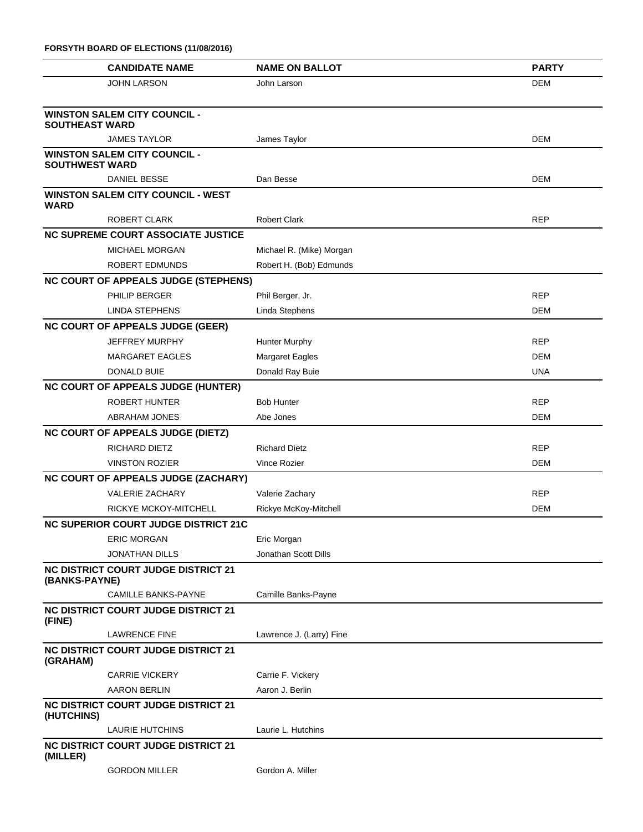| FORSYTH BOARD OF ELECTIONS (11/08/2016)                      |                          |              |
|--------------------------------------------------------------|--------------------------|--------------|
| <b>CANDIDATE NAME</b>                                        | <b>NAME ON BALLOT</b>    | <b>PARTY</b> |
| <b>JOHN LARSON</b>                                           | John Larson              | <b>DEM</b>   |
| <b>WINSTON SALEM CITY COUNCIL -</b><br><b>SOUTHEAST WARD</b> |                          |              |
| <b>JAMES TAYLOR</b>                                          | James Taylor             | DEM          |
| <b>WINSTON SALEM CITY COUNCIL -</b><br><b>SOUTHWEST WARD</b> |                          |              |
| DANIEL BESSE                                                 | Dan Besse                | DEM          |
| <b>WINSTON SALEM CITY COUNCIL - WEST</b><br>WARD             |                          |              |
| ROBERT CLARK                                                 | <b>Robert Clark</b>      | <b>REP</b>   |
| <b>NC SUPREME COURT ASSOCIATE JUSTICE</b>                    |                          |              |
| <b>MICHAEL MORGAN</b>                                        | Michael R. (Mike) Morgan |              |
| <b>ROBERT EDMUNDS</b>                                        | Robert H. (Bob) Edmunds  |              |
| <b>NC COURT OF APPEALS JUDGE (STEPHENS)</b>                  |                          |              |
| PHILIP BERGER                                                | Phil Berger, Jr.         | <b>REP</b>   |
| <b>LINDA STEPHENS</b>                                        | Linda Stephens           | DEM          |
| <b>NC COURT OF APPEALS JUDGE (GEER)</b>                      |                          |              |
| <b>JEFFREY MURPHY</b>                                        | <b>Hunter Murphy</b>     | <b>REP</b>   |
| <b>MARGARET EAGLES</b>                                       | <b>Margaret Eagles</b>   | DEM          |
| DONALD BUIE                                                  | Donald Ray Buie          | <b>UNA</b>   |
| <b>NC COURT OF APPEALS JUDGE (HUNTER)</b>                    |                          |              |
| ROBERT HUNTER                                                | <b>Bob Hunter</b>        | <b>REP</b>   |
| <b>ABRAHAM JONES</b>                                         | Abe Jones                | DEM          |
| <b>NC COURT OF APPEALS JUDGE (DIETZ)</b>                     |                          |              |
| <b>RICHARD DIETZ</b>                                         | <b>Richard Dietz</b>     | <b>REP</b>   |
| <b>VINSTON ROZIER</b>                                        | Vince Rozier             | DEM          |
| NC COURT OF APPEALS JUDGE (ZACHARY)                          |                          |              |
| <b>VALERIE ZACHARY</b>                                       | Valerie Zachary          | <b>REP</b>   |
| RICKYE MCKOY-MITCHELL                                        | Rickye McKoy-Mitchell    | <b>DEM</b>   |
| <b>NC SUPERIOR COURT JUDGE DISTRICT 21C</b>                  |                          |              |
| <b>ERIC MORGAN</b>                                           | Eric Morgan              |              |
| <b>JONATHAN DILLS</b>                                        | Jonathan Scott Dills     |              |
| <b>NC DISTRICT COURT JUDGE DISTRICT 21</b><br>(BANKS-PAYNE)  |                          |              |
| <b>CAMILLE BANKS-PAYNE</b>                                   | Camille Banks-Payne      |              |
| <b>NC DISTRICT COURT JUDGE DISTRICT 21</b><br>(FINE)         |                          |              |
| <b>LAWRENCE FINE</b>                                         | Lawrence J. (Larry) Fine |              |
| <b>NC DISTRICT COURT JUDGE DISTRICT 21</b><br>(GRAHAM)       |                          |              |
| <b>CARRIE VICKERY</b>                                        | Carrie F. Vickery        |              |
| <b>AARON BERLIN</b>                                          | Aaron J. Berlin          |              |
| <b>NC DISTRICT COURT JUDGE DISTRICT 21</b><br>(HUTCHINS)     |                          |              |
| <b>LAURIE HUTCHINS</b>                                       | Laurie L. Hutchins       |              |
| <b>NC DISTRICT COURT JUDGE DISTRICT 21</b><br>(MILLER)       |                          |              |
| <b>GORDON MILLER</b>                                         | Gordon A. Miller         |              |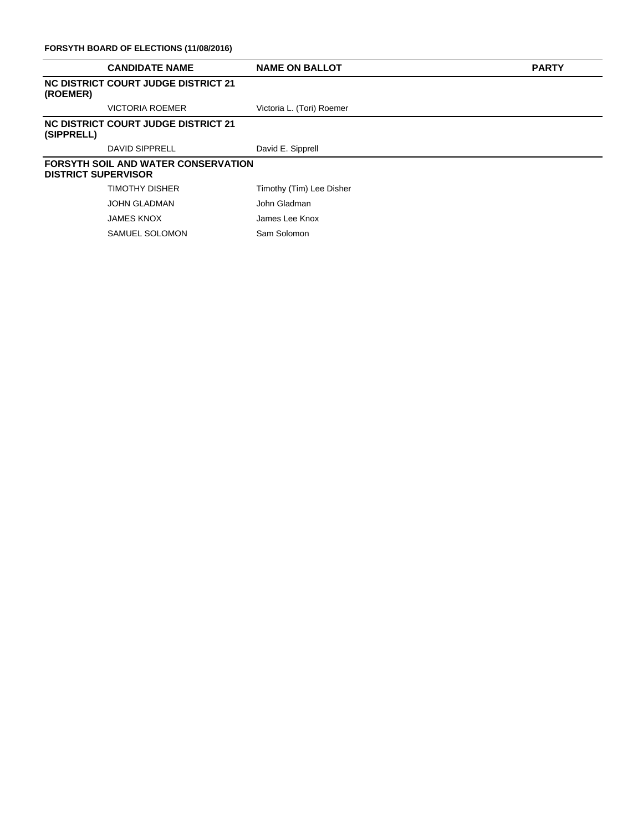|                                                                          | <b>CANDIDATE NAME</b>               | <b>NAME ON BALLOT</b>     | <b>PARTY</b> |  |
|--------------------------------------------------------------------------|-------------------------------------|---------------------------|--------------|--|
| (ROEMER)                                                                 | NC DISTRICT COURT JUDGE DISTRICT 21 |                           |              |  |
|                                                                          | VICTORIA ROEMER                     | Victoria L. (Tori) Roemer |              |  |
| (SIPPRELL)                                                               | NC DISTRICT COURT JUDGE DISTRICT 21 |                           |              |  |
|                                                                          | DAVID SIPPRELL                      | David E. Sipprell         |              |  |
| <b>FORSYTH SOIL AND WATER CONSERVATION</b><br><b>DISTRICT SUPERVISOR</b> |                                     |                           |              |  |
|                                                                          | TIMOTHY DISHER                      | Timothy (Tim) Lee Disher  |              |  |
|                                                                          | <b>JOHN GLADMAN</b>                 | John Gladman              |              |  |
|                                                                          | <b>JAMES KNOX</b>                   | James Lee Knox            |              |  |
|                                                                          | SAMUEL SOLOMON                      | Sam Solomon               |              |  |